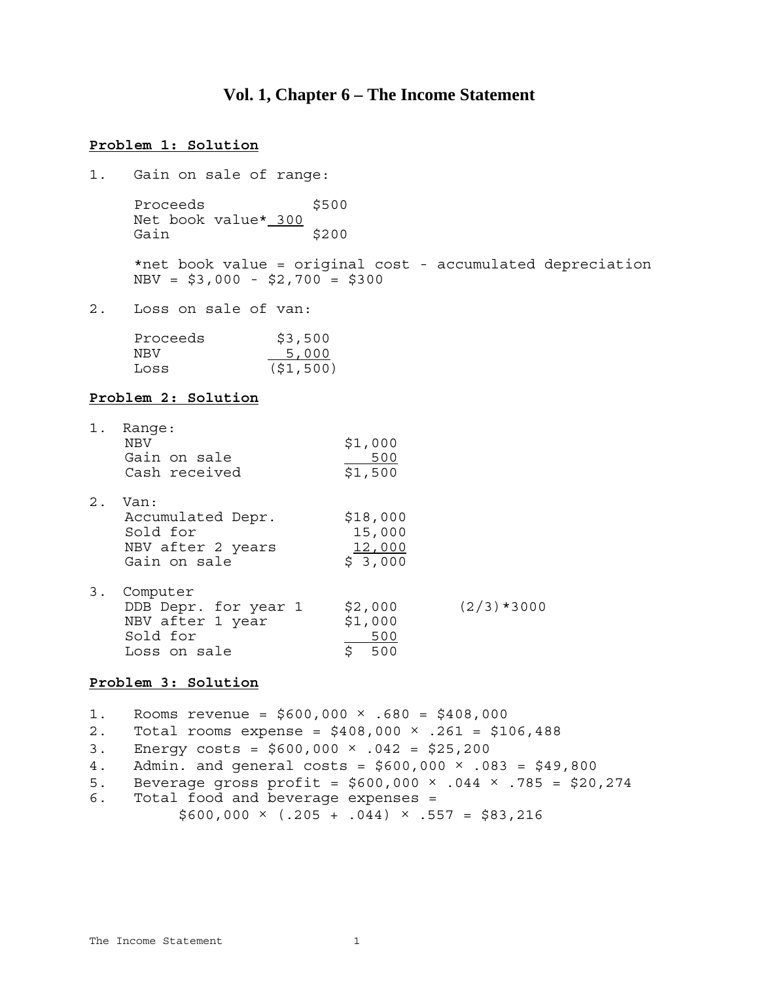# **Vol. 1, Chapter 6 – The Income Statement**

### **Problem 1: Solution**

1. Gain on sale of range:

Proceeds \$500 Net book value\* 300  $Gain$  \$200

\*net book value = original cost - accumulated depreciation NBV = \$3,000 - \$2,700 = \$300

2. Loss on sale of van:

| Proceeds | \$3,500   |
|----------|-----------|
| NBV.     | 5,000     |
| Loss     | (51, 500) |

## **Problem 2: Solution**

| $1$ . | Range:<br><b>NBV</b><br>Gain on sale<br>Cash received                            | \$1,000<br>500<br>\$1,500               |              |
|-------|----------------------------------------------------------------------------------|-----------------------------------------|--------------|
| 2.    | Van:<br>Accumulated Depr.<br>Sold for<br>NBV after 2 years<br>Gain on sale       | \$18,000<br>15,000<br>12,000<br>\$3,000 |              |
| 3.    | Computer<br>DDB Depr. for year 1<br>NBV after 1 year<br>Sold for<br>Loss on sale | \$2,000<br>\$1,000<br>500<br>\$<br>500  | $(2/3)*3000$ |

## **Problem 3: Solution**

1. Rooms revenue =  $$600,000 \times .680 = $408,000$ 2. Total rooms expense =  $$408,000 \times .261 = $106,488$ 3. Energy costs =  $$600,000 \times .042 = $25,200$ 4. Admin. and general costs =  $$600,000 \times .083 = $49,800$ 5. Beverage gross profit =  $$600,000 \times .044 \times .785 = $20,274$ 6. Total food and beverage expenses =  $$600,000 \times (.205 + .044) \times .557 = $83,216$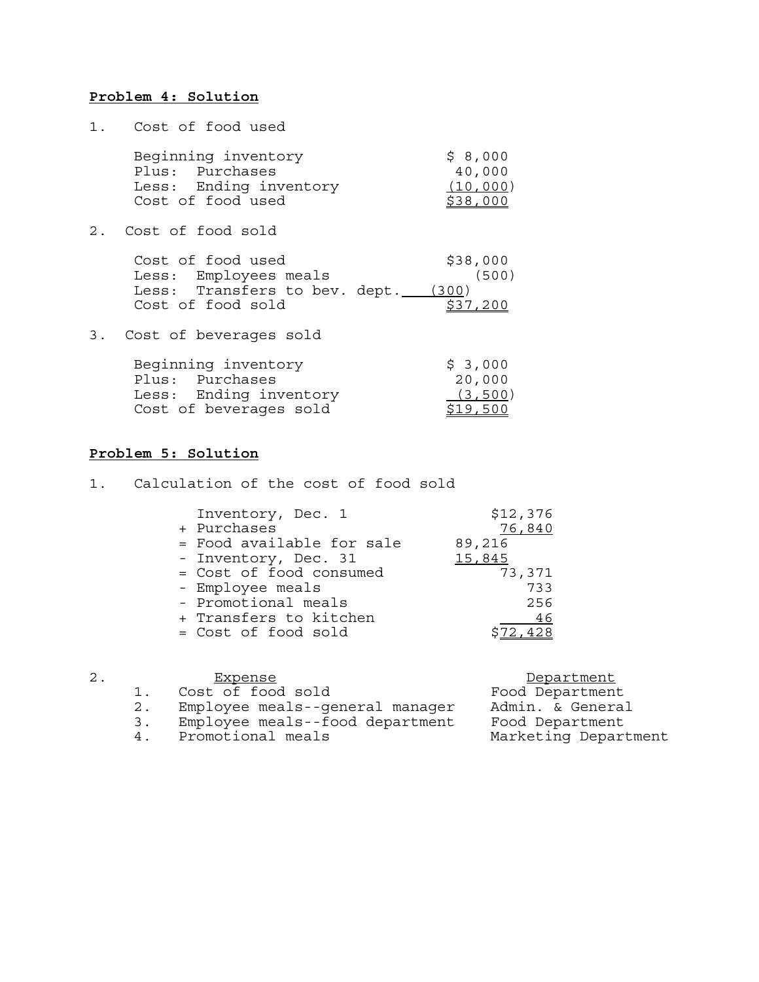## **Problem 4: Solution**

1. Cost of food used

| Beginning inventory    | \$8,000         |
|------------------------|-----------------|
| Plus: Purchases        | 40,000          |
| Less: Ending inventory | (10,000)        |
| Cost of food used      | <u>\$38,000</u> |

2. Cost of food sold

 $Cost of food used$   $$38,000$ Less: Employees meals (500) Less: Transfers to bev. dept. (300)  $Cost of food sold$   $\frac{$37,200}{200}$ 

3. Cost of beverages sold

| Beginning inventory    | \$3,000         |
|------------------------|-----------------|
| Plus: Purchases        | 20,000          |
| Less: Ending inventory | (3, 500)        |
| Cost of beverages sold | <u>\$19,500</u> |

### **Problem 5: Solution**

1. Calculation of the cost of food sold

| Inventory, Dec. 1         | \$12,376 |
|---------------------------|----------|
| + Purchases               | 76,840   |
| = Food available for sale | 89,216   |
| - Inventory, Dec. 31      | 15,845   |
| = Cost of food consumed   | 73,371   |
| - Employee meals          | 733      |
| - Promotional meals       | 256      |
| + Transfers to kitchen    | 46       |
| = Cost of food sold       |          |

| 2. |                  | Expense                         | <b>Department</b>    |
|----|------------------|---------------------------------|----------------------|
|    | $\overline{1}$ . | Cost of food sold               | Food Department      |
|    | 2.               | Employee meals--general manager | Admin. & General     |
|    | 3.               | Employee meals--food department | Food Department      |
|    | 4.               | Promotional meals               | Marketing Department |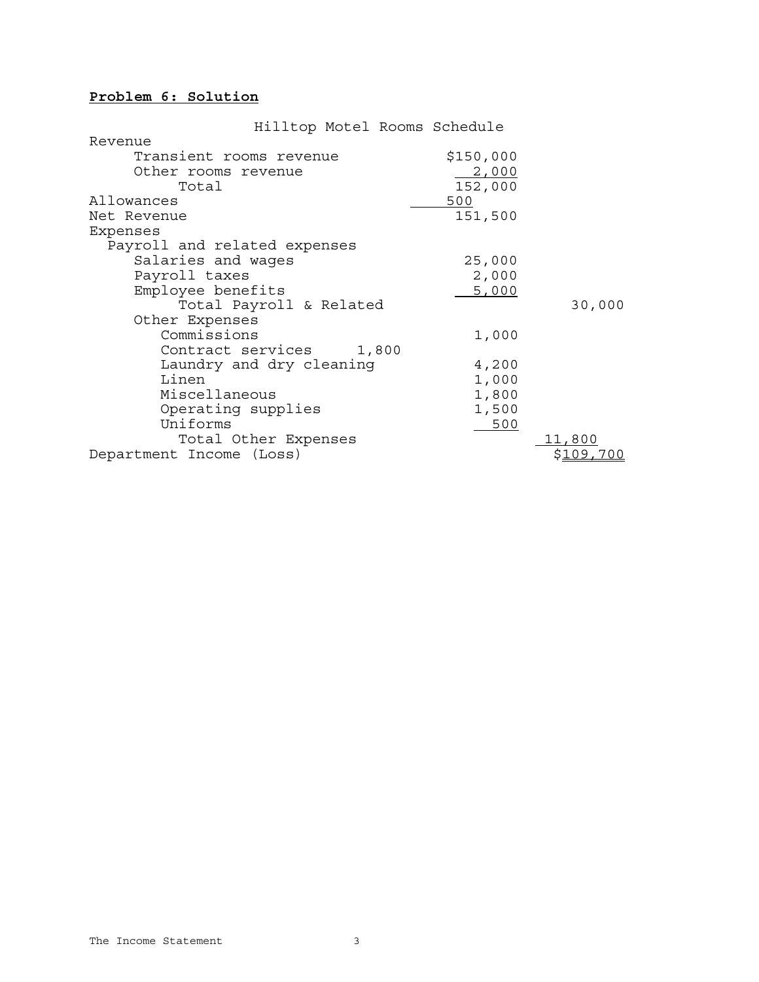## **Problem 6: Solution**

| Hilltop Motel Rooms Schedule |           |                 |
|------------------------------|-----------|-----------------|
| Revenue                      |           |                 |
| Transient rooms revenue      | \$150,000 |                 |
| Other rooms revenue          | 2,000     |                 |
| Total                        | 152,000   |                 |
| Allowances                   | 500       |                 |
| Net Revenue                  | 151,500   |                 |
| Expenses                     |           |                 |
| Payroll and related expenses |           |                 |
| Salaries and wages           | 25,000    |                 |
| Payroll taxes                | 2,000     |                 |
| Employee benefits            | 5,000     |                 |
| Total Payroll & Related      |           | 30,000          |
| Other Expenses               |           |                 |
| Commissions                  | 1,000     |                 |
| Contract services 1,800      |           |                 |
| Laundry and dry cleaning     | 4,200     |                 |
| Linen                        | 1,000     |                 |
| Miscellaneous                | 1,800     |                 |
| Operating supplies           | 1,500     |                 |
| Uniforms                     | 500       |                 |
| Total Other Expenses         |           | 11,800          |
| Department Income (Loss)     |           | \$ <u>109,7</u> |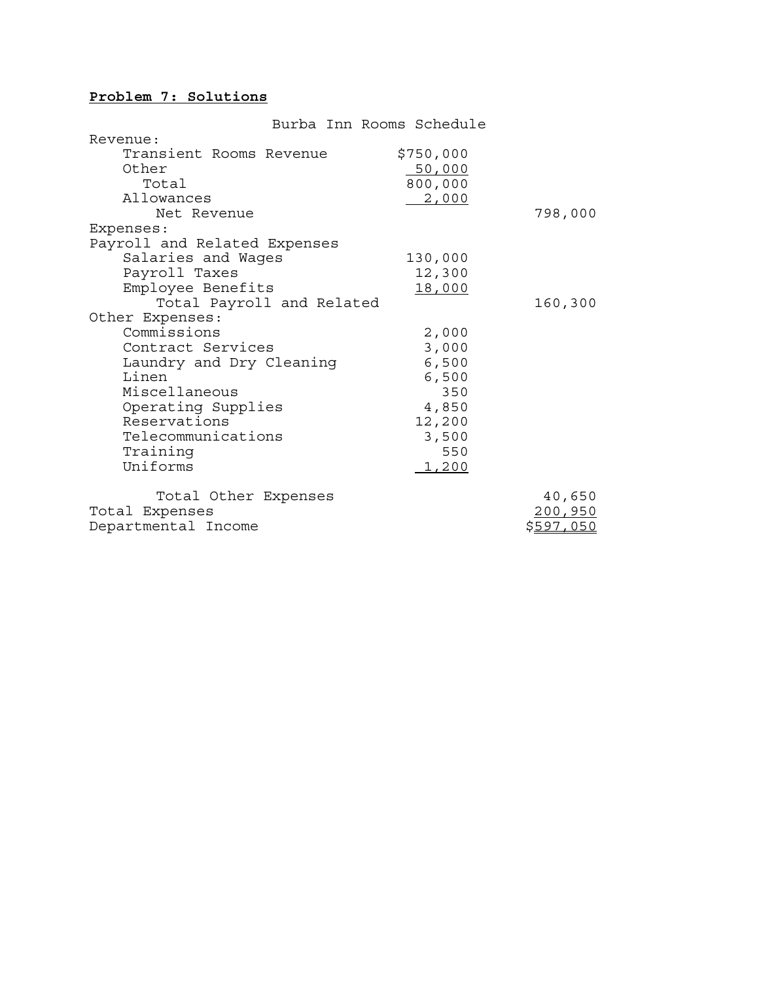## **Problem 7: Solutions**

| Burba Inn Rooms Schedule     |               |                  |
|------------------------------|---------------|------------------|
| Revenue:                     |               |                  |
| Transient Rooms Revenue      | \$750,000     |                  |
| Other                        | 50,000        |                  |
| Total                        | 800,000       |                  |
| Allowances                   | 2,000         |                  |
| Net Revenue                  |               | 798,000          |
| Expenses:                    |               |                  |
| Payroll and Related Expenses |               |                  |
| Salaries and Wages           | 130,000       |                  |
| Payroll Taxes                | 12,300        |                  |
| Employee Benefits            | <u>18,000</u> |                  |
| Total Payroll and Related    |               | 160,300          |
| Other Expenses:              |               |                  |
| Commissions                  | 2,000         |                  |
| Contract Services            | 3,000         |                  |
| Laundry and Dry Cleaning     | 6,500         |                  |
| Linen                        | 6,500         |                  |
| Miscellaneous                | 350           |                  |
| Operating Supplies           | 4,850         |                  |
| Reservations                 | 12,200        |                  |
| Telecommunications           | 3,500         |                  |
| Training                     | 550           |                  |
| Uniforms                     | 1,200         |                  |
|                              |               |                  |
| Total Other Expenses         |               | 40,650           |
| Total Expenses               |               | 200,950          |
| Departmental Income          |               | <u>\$597,050</u> |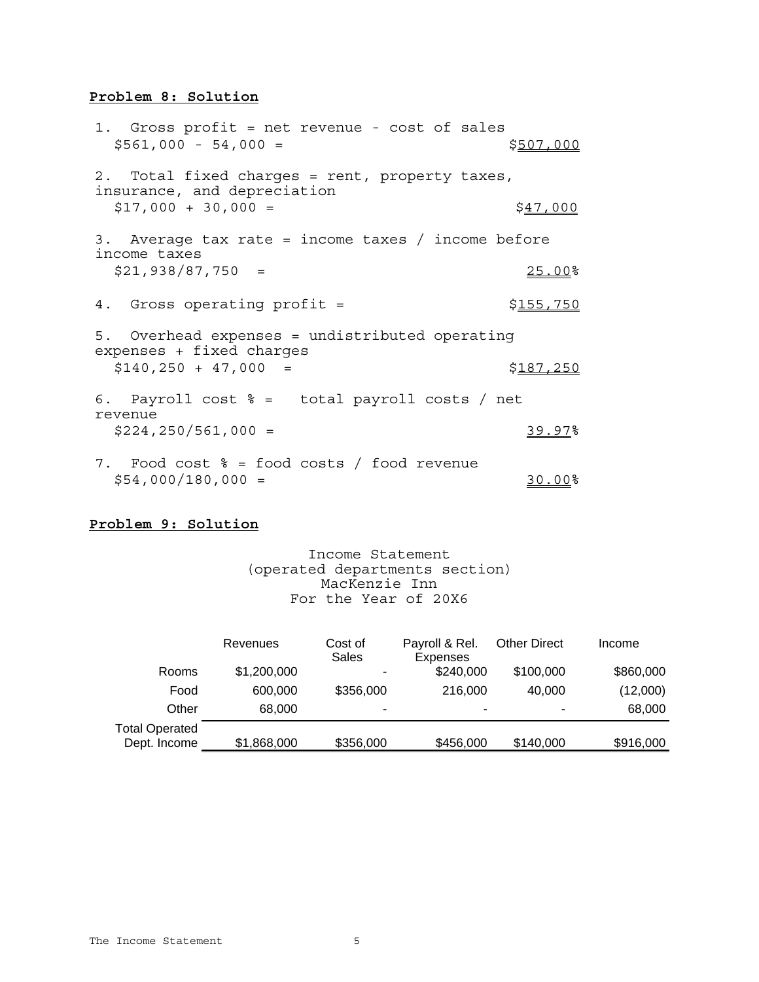### **Problem 8: Solution**

1. Gross profit = net revenue - cost of sales  $$561,000 - 54,000 =$  \$507,000 2. Total fixed charges = rent, property taxes, insurance, and depreciation  $$17,000 + 30,000 =$   $$47,000$ 3. Average tax rate = income taxes / income before income taxes  $$21,938/87,750 =$  25.00% 4. Gross operating profit =  $$155,750$ 5. Overhead expenses = undistributed operating expenses + fixed charges  $$140,250 + 47,000 =$  \$187,250 6. Payroll cost % = total payroll costs / net revenue  $$224,250/561,000 =$  39.97% 7. Food cost % = food costs / food revenue  $$54,000/180,000 =$  30.00%

## **Problem 9: Solution**

Income Statement (operated departments section) MacKenzie Inn For the Year of 20X6

| Revenues    | Cost of   | Payroll & Rel. | <b>Other Direct</b> | Income    |
|-------------|-----------|----------------|---------------------|-----------|
| \$1,200,000 |           | \$240,000      | \$100,000           | \$860,000 |
| 600,000     | \$356,000 | 216,000        | 40,000              | (12,000)  |
| 68,000      |           |                |                     | 68,000    |
| \$1,868,000 | \$356,000 | \$456,000      | \$140,000           | \$916,000 |
|             |           | Sales          | <b>Expenses</b>     |           |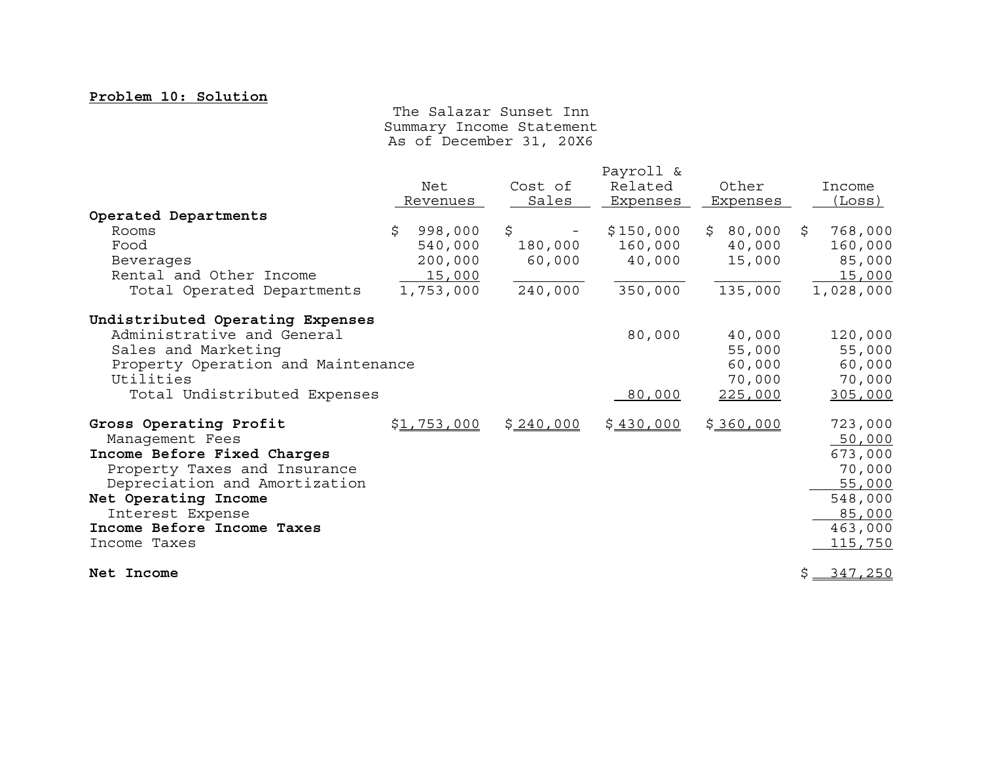#### **Problem 10: Solution**

The Salazar Sunset Inn Summary Income Statement As of December 31, 20X6

|                                    |               |           | Payroll & |                 |                |
|------------------------------------|---------------|-----------|-----------|-----------------|----------------|
|                                    | Net           | Cost of   | Related   | Other           | Income         |
|                                    | Revenues      | Sales     | Expenses  | <u>Expenses</u> | (Loss)         |
| Operated Departments               |               |           |           |                 |                |
| Rooms                              | \$<br>998,000 | \$        | \$150,000 | 80,000<br>\$    | \$<br>768,000  |
| Food                               | 540,000       | 180,000   | 160,000   | 40,000          | 160,000        |
| Beverages                          | 200,000       | 60,000    | 40,000    | 15,000          | 85,000         |
| Rental and Other Income            | 15,000        |           |           |                 | 15,000         |
| Total Operated Departments         | 1,753,000     | 240,000   | 350,000   | 135,000         | 1,028,000      |
| Undistributed Operating Expenses   |               |           |           |                 |                |
| Administrative and General         |               |           | 80,000    | 40,000          | 120,000        |
| Sales and Marketing                |               |           |           | 55,000          | 55,000         |
| Property Operation and Maintenance |               |           |           | 60,000          | 60,000         |
| Utilities                          |               |           |           | 70,000          | 70,000         |
| Total Undistributed Expenses       |               |           | 80,000    | 225,000         | 305,000        |
| Gross Operating Profit             | \$1,753,000   | \$240,000 | \$430,000 | \$360,000       | 723,000        |
| Management Fees                    |               |           |           |                 | 50,000         |
| Income Before Fixed Charges        |               |           |           |                 | 673,000        |
| Property Taxes and Insurance       |               |           |           |                 | 70,000         |
| Depreciation and Amortization      |               |           |           |                 | 55,000         |
| Net Operating Income               |               |           |           |                 | 548,000        |
| Interest Expense                   |               |           |           |                 | 85,000         |
| Income Before Income Taxes         |               |           |           |                 | 463,000        |
| Income Taxes                       |               |           |           |                 | <u>115,750</u> |
| Net Income                         |               |           |           |                 | 347,250<br>\$  |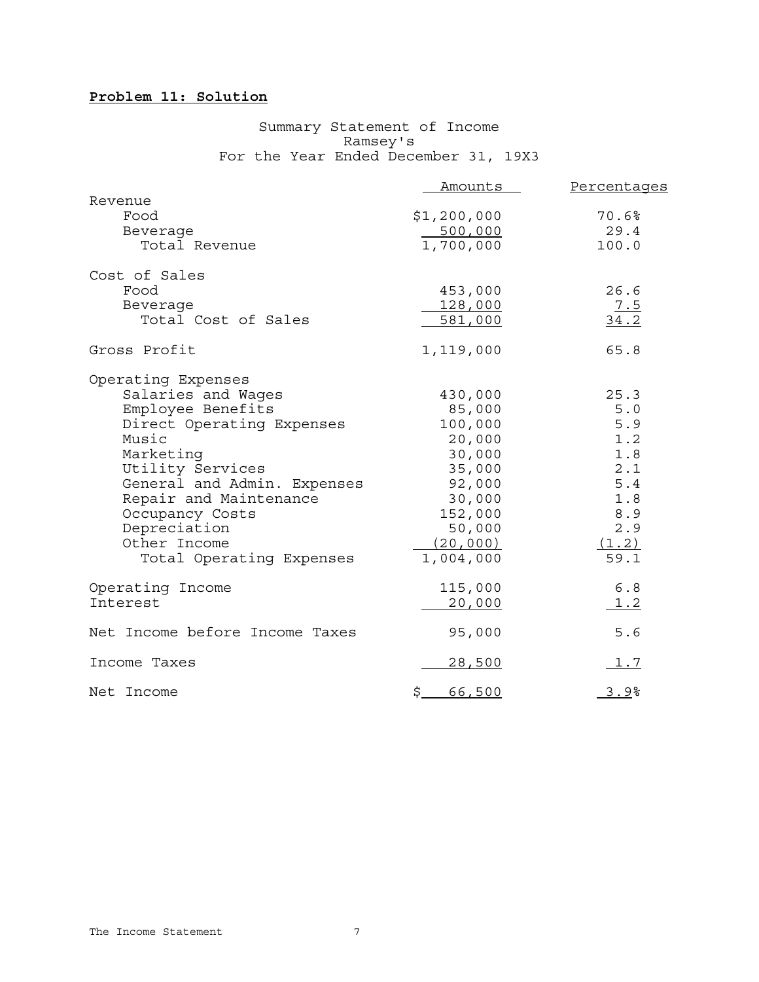## **Problem 11: Solution**

## Summary Statement of Income Ramsey's For the Year Ended December 31, 19X3

|                                | Amounts       | Percentages  |
|--------------------------------|---------------|--------------|
| Revenue                        |               |              |
| Food                           | \$1,200,000   | 70.6%        |
| Beverage                       | 500,000       | 29.4         |
| Total Revenue                  | 1,700,000     | 100.0        |
| Cost of Sales                  |               |              |
| Food                           | 453,000       | 26.6         |
| Beverage                       | 128,000       | 7.5          |
| Total Cost of Sales            | 581,000       | 34.2         |
| Gross Profit                   | 1,119,000     | 65.8         |
| Operating Expenses             |               |              |
| Salaries and Wages             | 430,000       | 25.3         |
| Employee Benefits              | 85,000        | 5.0          |
| Direct Operating Expenses      | 100,000       | 5.9          |
| Music                          | 20,000        | 1.2          |
| Marketing                      | 30,000        | 1.8          |
| Utility Services               | 35,000        | 2.1          |
| General and Admin. Expenses    | 92,000        | 5.4          |
| Repair and Maintenance         | 30,000        | 1.8          |
| Occupancy Costs                | 152,000       | 8.9          |
| Depreciation                   | 50,000        | 2.9          |
| Other Income                   | (20, 000)     | (1.2)        |
| Total Operating Expenses       | 1,004,000     | 59.1         |
| Operating Income               | 115,000       | 6.8          |
| Interest                       | 20,000        | 1.2          |
| Net Income before Income Taxes | 95,000        | 5.6          |
| Income Taxes                   | <u>28,500</u> | 1.7          |
| Net Income                     | 66,500<br>\$_ | <u>3.9</u> % |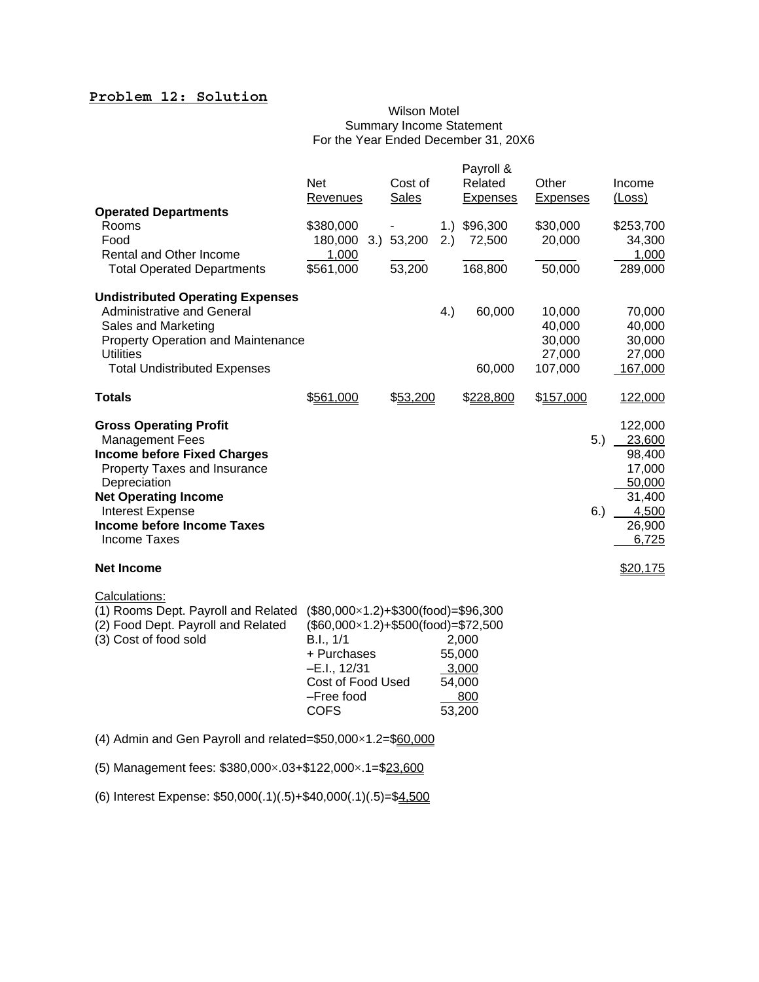## **Problem 12: Solution**

## Wilson Motel Summary Income Statement For the Year Ended December 31, 20X6

| <b>Operated Departments</b><br>Rooms<br>Food                                                                                                                                                                                                                                             | <b>Net</b><br>Revenues<br>\$380,000<br>180,000                                                                                                                                     | Cost of<br><b>Sales</b><br>3.) 53,200 | 2.) | Payroll &<br>Related<br>Expenses<br>1.) \$96,300<br>72,500 | Other<br>Expenses<br>\$30,000<br>20,000         | Income<br>(Loss)<br>\$253,700<br>34,300                                                           |
|------------------------------------------------------------------------------------------------------------------------------------------------------------------------------------------------------------------------------------------------------------------------------------------|------------------------------------------------------------------------------------------------------------------------------------------------------------------------------------|---------------------------------------|-----|------------------------------------------------------------|-------------------------------------------------|---------------------------------------------------------------------------------------------------|
| Rental and Other Income<br><b>Total Operated Departments</b>                                                                                                                                                                                                                             | 1,000<br>\$561,000                                                                                                                                                                 | 53,200                                |     | 168,800                                                    | 50,000                                          | 1,000<br>289,000                                                                                  |
| <b>Undistributed Operating Expenses</b><br><b>Administrative and General</b><br>Sales and Marketing<br><b>Property Operation and Maintenance</b><br>Utilities<br><b>Total Undistributed Expenses</b>                                                                                     |                                                                                                                                                                                    |                                       | 4.) | 60,000<br>60,000                                           | 10,000<br>40,000<br>30,000<br>27,000<br>107,000 | 70,000<br>40,000<br>30,000<br>27,000<br>167,000                                                   |
| <b>Totals</b>                                                                                                                                                                                                                                                                            | \$561,000                                                                                                                                                                          | \$53,200                              |     | \$228,800                                                  | \$157,000                                       | 122,000                                                                                           |
| <b>Gross Operating Profit</b><br><b>Management Fees</b><br><b>Income before Fixed Charges</b><br>Property Taxes and Insurance<br>Depreciation<br><b>Net Operating Income</b><br><b>Interest Expense</b><br><b>Income before Income Taxes</b><br><b>Income Taxes</b><br><b>Net Income</b> |                                                                                                                                                                                    |                                       |     |                                                            | 5.)<br>6.)                                      | 122,000<br>23,600<br>98,400<br>17,000<br>50,000<br>31,400<br>4,500<br>26,900<br>6,725<br>\$20,175 |
| Calculations:<br>(1) Rooms Dept. Payroll and Related<br>(2) Food Dept. Payroll and Related<br>(3) Cost of food sold                                                                                                                                                                      | $($80,000\times1.2)+$300(food)=$96,300$<br>$($60,000\times1.2)+$500(food)=$72,500$<br>B.I., 1/1<br>+ Purchases<br>$-E.I., 12/31$<br>Cost of Food Used<br>-Free food<br><b>COFS</b> |                                       |     | 2,000<br>55,000<br>3,000<br>54,000<br>800<br>53,200        |                                                 |                                                                                                   |
| (4) Admin and Gen Payroll and related= $$50,000\times1.2= $60,000$                                                                                                                                                                                                                       |                                                                                                                                                                                    |                                       |     |                                                            |                                                 |                                                                                                   |
| (5) Management fees: $$380,000 \times .03 + $122,000 \times .1 = $23,600$                                                                                                                                                                                                                |                                                                                                                                                                                    |                                       |     |                                                            |                                                 |                                                                                                   |
| (6) Interest Expense: \$50,000(.1)(.5)+\$40,000(.1)(.5)=\$4,500                                                                                                                                                                                                                          |                                                                                                                                                                                    |                                       |     |                                                            |                                                 |                                                                                                   |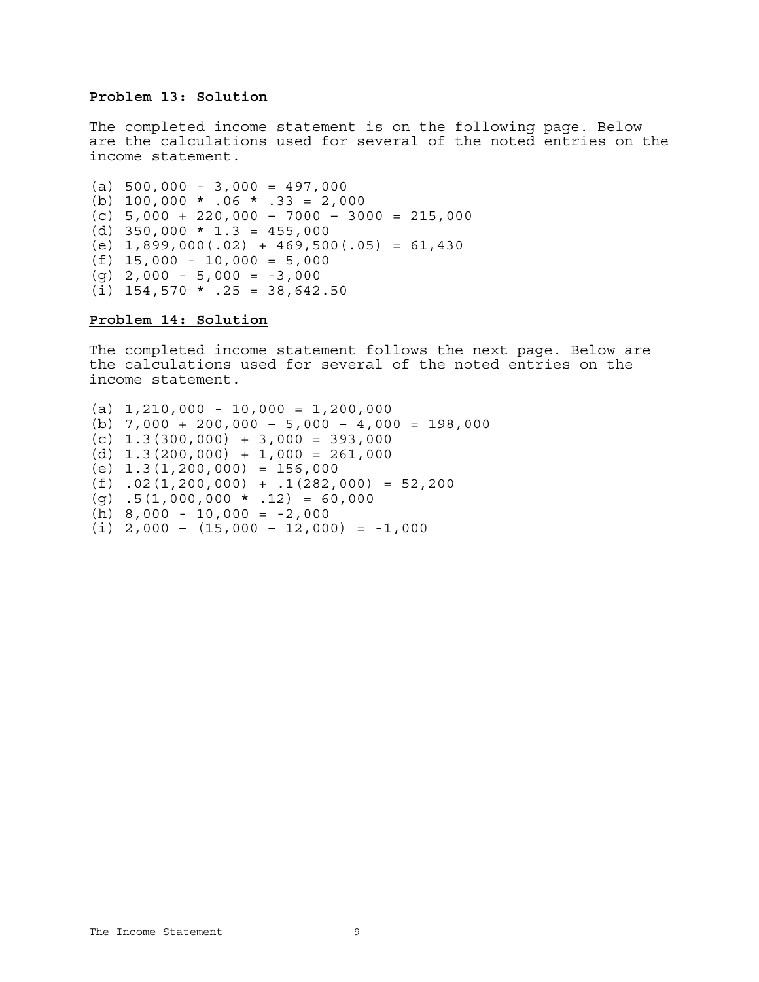### **Problem 13: Solution**

The completed income statement is on the following page. Below are the calculations used for several of the noted entries on the income statement.

```
(a) 500,000 - 3,000 = 497,000
(b) 100,000 * .06 * .33 = 2,000 
(c) 5,000 + 220,000 – 7000 – 3000 = 215,000 
(d) 350,000 \star 1.3 = 455,000
(e) 1,899,000(.02) + 469,500(.05) = 61,430
(f) 15,000 - 10,000 = 5,000 
(g) 2,000 - 5,000 = -3,000
(i) 154,570 * .25 = 38,642.50
```
### **Problem 14: Solution**

The completed income statement follows the next page. Below are the calculations used for several of the noted entries on the income statement.

```
(a) 1,210,000 - 10,000 = 1,200,000
(b) 7,000 + 200,000 - 5,000 - 4,000 = 198,000
(c) 1.3(300,000) + 3,000 = 393,000
(d) 1.3(200,000) + 1,000 = 261,000(e) 1.3(1,200,000) = 156,000
(f) .02(1,200,000) + .1(282,000) = 52,200 
(g) .5(1,000,000 \star .12) = 60,000
(h) 8,000 - 10,000 = -2,000(i) 2,000 - (15,000 - 12,000) = -1,000
```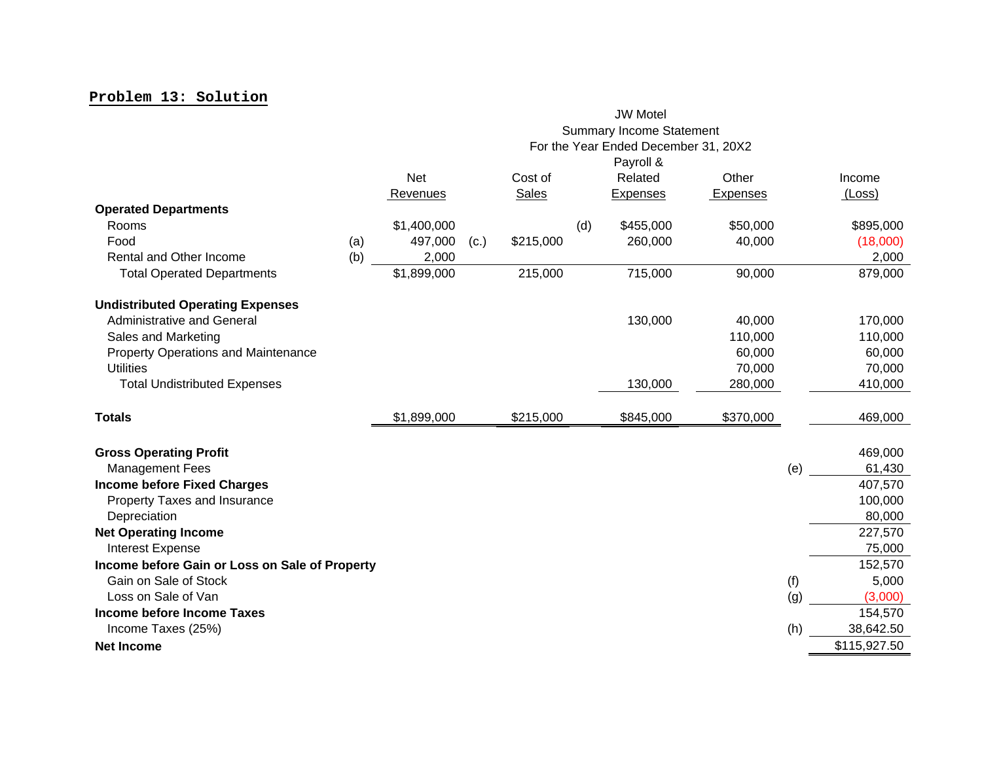#### **Problem 13: Solution**

|                                                |     |             |                                      |              |     | <b>JW Motel</b> |                 |     |              |
|------------------------------------------------|-----|-------------|--------------------------------------|--------------|-----|-----------------|-----------------|-----|--------------|
|                                                |     |             | <b>Summary Income Statement</b>      |              |     |                 |                 |     |              |
|                                                |     |             | For the Year Ended December 31, 20X2 |              |     |                 |                 |     |              |
|                                                |     |             |                                      |              |     | Payroll &       |                 |     |              |
|                                                |     | <b>Net</b>  |                                      | Cost of      |     | Related         | Other           |     | Income       |
|                                                |     | Revenues    |                                      | <b>Sales</b> |     | <b>Expenses</b> | <b>Expenses</b> |     | (Loss)       |
| <b>Operated Departments</b>                    |     |             |                                      |              |     |                 |                 |     |              |
| Rooms                                          |     | \$1,400,000 |                                      |              | (d) | \$455,000       | \$50,000        |     | \$895,000    |
| Food                                           | (a) | 497,000     | (c.)                                 | \$215,000    |     | 260,000         | 40,000          |     | (18,000)     |
| Rental and Other Income                        | (b) | 2,000       |                                      |              |     |                 |                 |     | 2,000        |
| <b>Total Operated Departments</b>              |     | \$1,899,000 |                                      | 215,000      |     | 715,000         | 90,000          |     | 879,000      |
| <b>Undistributed Operating Expenses</b>        |     |             |                                      |              |     |                 |                 |     |              |
| Administrative and General                     |     |             |                                      |              |     | 130,000         | 40,000          |     | 170,000      |
| Sales and Marketing                            |     |             |                                      |              |     |                 | 110,000         |     | 110,000      |
| <b>Property Operations and Maintenance</b>     |     |             |                                      |              |     |                 | 60,000          |     | 60,000       |
| <b>Utilities</b>                               |     |             |                                      |              |     |                 | 70,000          |     | 70,000       |
| <b>Total Undistributed Expenses</b>            |     |             |                                      |              |     | 130,000         | 280,000         |     | 410,000      |
| <b>Totals</b>                                  |     | \$1,899,000 |                                      | \$215,000    |     | \$845,000       | \$370,000       |     | 469,000      |
| <b>Gross Operating Profit</b>                  |     |             |                                      |              |     |                 |                 |     | 469,000      |
| <b>Management Fees</b>                         |     |             |                                      |              |     |                 |                 | (e) | 61,430       |
| <b>Income before Fixed Charges</b>             |     |             |                                      |              |     |                 |                 |     | 407,570      |
| Property Taxes and Insurance                   |     |             |                                      |              |     |                 |                 |     | 100,000      |
| Depreciation                                   |     |             |                                      |              |     |                 |                 |     | 80,000       |
| <b>Net Operating Income</b>                    |     |             |                                      |              |     |                 |                 |     | 227,570      |
| Interest Expense                               |     |             |                                      |              |     |                 |                 |     | 75,000       |
| Income before Gain or Loss on Sale of Property |     |             |                                      |              |     |                 |                 |     | 152,570      |
| Gain on Sale of Stock                          |     |             |                                      |              |     |                 |                 | (f) | 5,000        |
| Loss on Sale of Van                            |     |             |                                      |              |     |                 |                 | (g) | (3,000)      |
| <b>Income before Income Taxes</b>              |     |             |                                      |              |     |                 |                 |     | 154,570      |
| Income Taxes (25%)                             |     |             |                                      |              |     |                 |                 | (h) | 38,642.50    |
| <b>Net Income</b>                              |     |             |                                      |              |     |                 |                 |     | \$115,927.50 |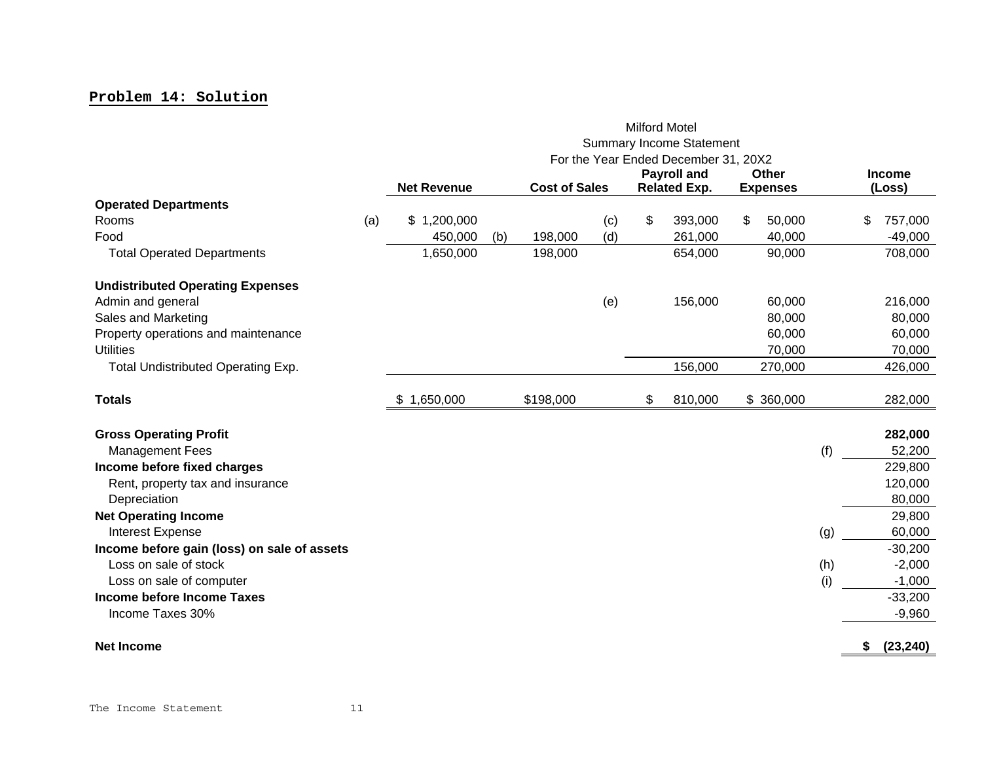#### **Problem 14: Solution**

|                                             |     | <b>Milford Motel</b>            |     |                      |            |    |                                      |                 |         |     |    |               |
|---------------------------------------------|-----|---------------------------------|-----|----------------------|------------|----|--------------------------------------|-----------------|---------|-----|----|---------------|
|                                             |     | <b>Summary Income Statement</b> |     |                      |            |    |                                      |                 |         |     |    |               |
|                                             |     |                                 |     |                      |            |    | For the Year Ended December 31, 20X2 |                 |         |     |    |               |
|                                             |     |                                 |     |                      |            |    | <b>Payroll and</b>                   | Other           |         |     |    | <b>Income</b> |
|                                             |     | <b>Net Revenue</b>              |     | <b>Cost of Sales</b> |            |    | <b>Related Exp.</b>                  | <b>Expenses</b> |         |     |    | (Loss)        |
| <b>Operated Departments</b><br>Rooms        |     | 1,200,000<br>\$                 |     |                      |            | \$ | 393,000                              | \$              | 50,000  |     | \$ | 757,000       |
| Food                                        | (a) | 450,000                         | (b) | 198,000              | (c)<br>(d) |    | 261,000                              |                 | 40,000  |     |    | $-49,000$     |
|                                             |     |                                 |     |                      |            |    |                                      |                 |         |     |    |               |
| <b>Total Operated Departments</b>           |     | 1,650,000                       |     | 198,000              |            |    | 654,000                              |                 | 90,000  |     |    | 708,000       |
| <b>Undistributed Operating Expenses</b>     |     |                                 |     |                      |            |    |                                      |                 |         |     |    |               |
| Admin and general                           |     |                                 |     |                      | (e)        |    | 156,000                              |                 | 60,000  |     |    | 216,000       |
| Sales and Marketing                         |     |                                 |     |                      |            |    |                                      |                 | 80,000  |     |    | 80,000        |
| Property operations and maintenance         |     |                                 |     |                      |            |    |                                      |                 | 60,000  |     |    | 60,000        |
| <b>Utilities</b>                            |     |                                 |     |                      |            |    |                                      |                 | 70,000  |     |    | 70,000        |
| Total Undistributed Operating Exp.          |     |                                 |     |                      |            |    | 156,000                              |                 | 270,000 |     |    | 426,000       |
|                                             |     |                                 |     |                      |            |    |                                      |                 |         |     |    |               |
| <b>Totals</b>                               |     | \$1,650,000                     |     | \$198,000            |            | \$ | 810,000                              | \$360,000       |         |     |    | 282,000       |
|                                             |     |                                 |     |                      |            |    |                                      |                 |         |     |    |               |
| <b>Gross Operating Profit</b>               |     |                                 |     |                      |            |    |                                      |                 |         |     |    | 282,000       |
| <b>Management Fees</b>                      |     |                                 |     |                      |            |    |                                      |                 |         | (f) |    | 52,200        |
| Income before fixed charges                 |     |                                 |     |                      |            |    |                                      |                 |         |     |    | 229,800       |
| Rent, property tax and insurance            |     |                                 |     |                      |            |    |                                      |                 |         |     |    | 120,000       |
| Depreciation                                |     |                                 |     |                      |            |    |                                      |                 |         |     |    | 80,000        |
| <b>Net Operating Income</b>                 |     |                                 |     |                      |            |    |                                      |                 |         |     |    | 29,800        |
| <b>Interest Expense</b>                     |     |                                 |     |                      |            |    |                                      |                 |         | (g) |    | 60,000        |
| Income before gain (loss) on sale of assets |     |                                 |     |                      |            |    |                                      |                 |         |     |    | $-30,200$     |
| Loss on sale of stock                       |     |                                 |     |                      |            |    |                                      |                 |         | (h) |    | $-2,000$      |
| Loss on sale of computer                    |     |                                 |     |                      |            |    |                                      |                 |         | (i) |    | $-1,000$      |
| Income before Income Taxes                  |     |                                 |     |                      |            |    |                                      |                 |         |     |    | $-33,200$     |
| Income Taxes 30%                            |     |                                 |     |                      |            |    |                                      |                 |         |     |    | $-9,960$      |
| <b>Net Income</b>                           |     |                                 |     |                      |            |    |                                      |                 |         |     | \$ | (23, 240)     |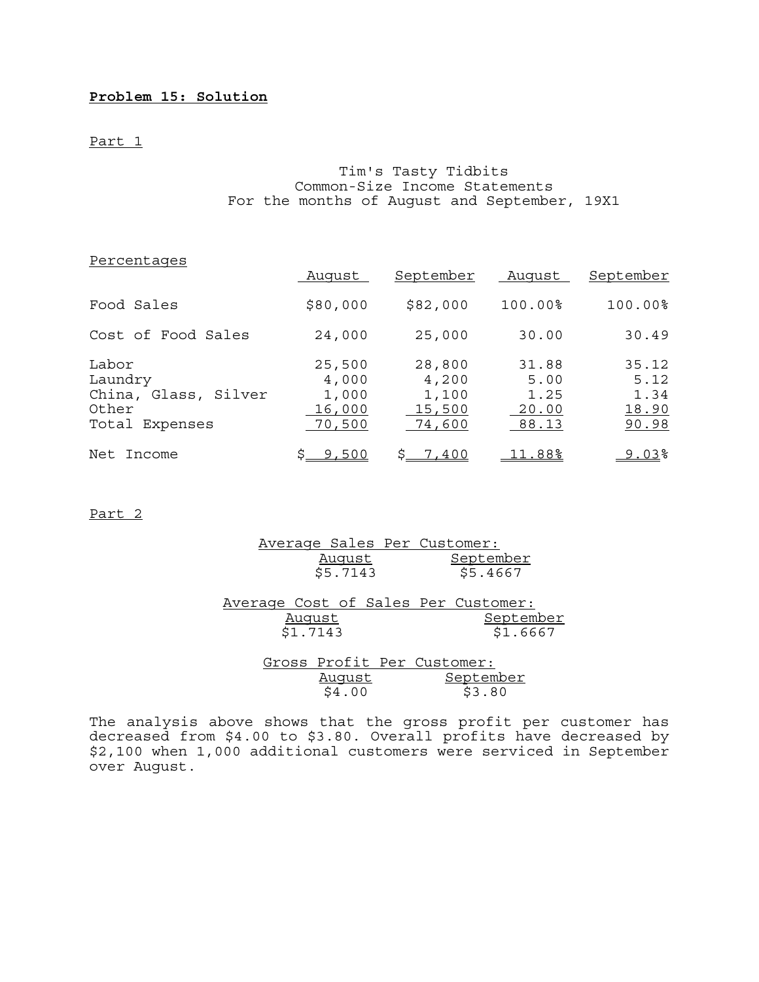## **Problem 15: Solution**

#### Part 1

### Tim's Tasty Tidbits Common-Size Income Statements For the months of August and September, 19X1

### Percentages

|                                                                     | Auqust                                       | September                                    | Auqust                                  | September                               |
|---------------------------------------------------------------------|----------------------------------------------|----------------------------------------------|-----------------------------------------|-----------------------------------------|
| Food Sales                                                          | \$80,000                                     | \$82,000                                     | 100.00%                                 | 100.00%                                 |
| Cost of Food Sales                                                  | 24,000                                       | 25,000                                       | 30.00                                   | 30.49                                   |
| Labor<br>Laundry<br>China, Glass, Silver<br>Other<br>Total Expenses | 25,500<br>4,000<br>1,000<br>16,000<br>70,500 | 28,800<br>4,200<br>1,100<br>15,500<br>74,600 | 31.88<br>5.00<br>1.25<br>20.00<br>88.13 | 35.12<br>5.12<br>1.34<br>18.90<br>90.98 |
| Net Income                                                          | \$9,500                                      | \$7,400                                      | <u> 11.88%</u>                          | <u>9.03</u> %                           |

Part 2

|                                     | Average Sales Per Customer: |           |
|-------------------------------------|-----------------------------|-----------|
|                                     | August                      | September |
|                                     | \$5.7143                    | \$5.4667  |
|                                     |                             |           |
| Average Cost of Sales Per Customer: |                             |           |
| Auqust                              |                             | September |
| \$1.7143                            |                             | \$1.6667  |
|                                     |                             |           |
|                                     | Gross Profit Per Customer:  |           |
|                                     | Auqust                      | September |
|                                     | \$4.00                      | \$3.80    |

| The analysis above shows that the gross profit per customer has    |  |  |  |  |  |
|--------------------------------------------------------------------|--|--|--|--|--|
| decreased from \$4.00 to \$3.80. Overall profits have decreased by |  |  |  |  |  |
| \$2,100 when 1,000 additional customers were serviced in September |  |  |  |  |  |
| over August.                                                       |  |  |  |  |  |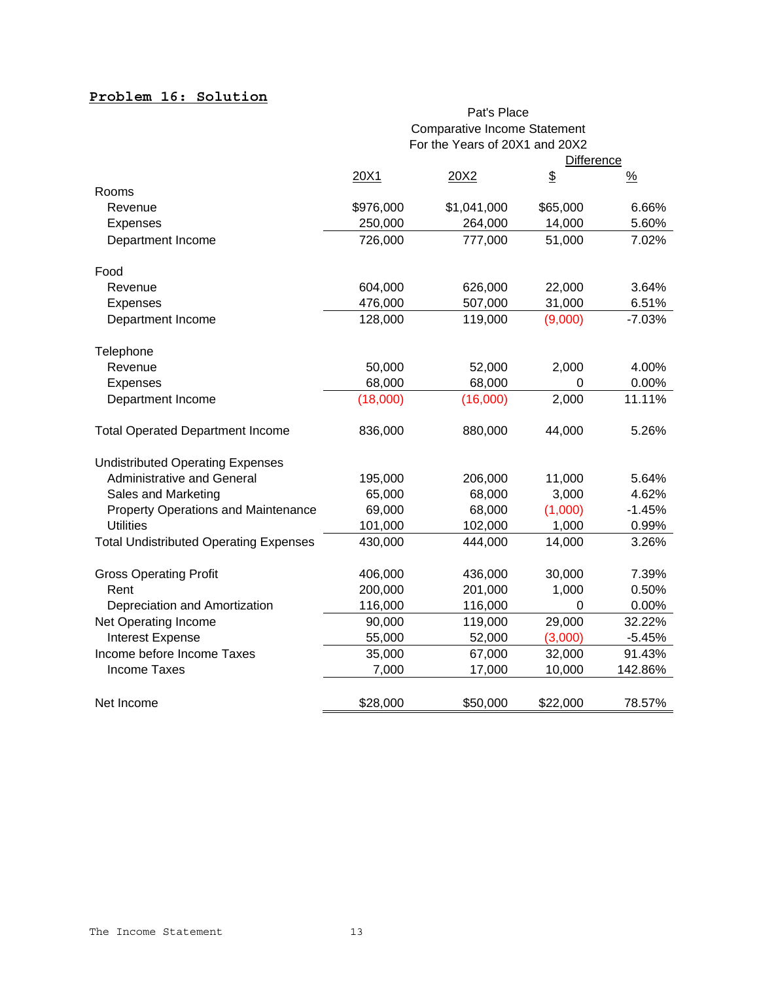## **Problem 16: Solution**

## Pat's Place Comparative Income Statement For the Years of 20X1 and 20X2

|                                               |           |             | <b>Difference</b>         |               |
|-----------------------------------------------|-----------|-------------|---------------------------|---------------|
|                                               | 20X1      | 20X2        | $\overline{\mathfrak{D}}$ | $\frac{9}{6}$ |
| Rooms                                         |           |             |                           |               |
| Revenue                                       | \$976,000 | \$1,041,000 | \$65,000                  | 6.66%         |
| <b>Expenses</b>                               | 250,000   | 264,000     | 14,000                    | 5.60%         |
| Department Income                             | 726,000   | 777,000     | 51,000                    | 7.02%         |
| Food                                          |           |             |                           |               |
| Revenue                                       | 604,000   | 626,000     | 22,000                    | 3.64%         |
| <b>Expenses</b>                               | 476,000   | 507,000     | 31,000                    | 6.51%         |
| Department Income                             | 128,000   | 119,000     | (9,000)                   | $-7.03%$      |
| Telephone                                     |           |             |                           |               |
| Revenue                                       | 50,000    | 52,000      | 2,000                     | 4.00%         |
| <b>Expenses</b>                               | 68,000    | 68,000      | $\Omega$                  | 0.00%         |
| Department Income                             | (18,000)  | (16,000)    | 2,000                     | 11.11%        |
| <b>Total Operated Department Income</b>       | 836,000   | 880,000     | 44,000                    | 5.26%         |
| <b>Undistributed Operating Expenses</b>       |           |             |                           |               |
| <b>Administrative and General</b>             | 195,000   | 206,000     | 11,000                    | 5.64%         |
| Sales and Marketing                           | 65,000    | 68,000      | 3,000                     | 4.62%         |
| <b>Property Operations and Maintenance</b>    | 69,000    | 68,000      | (1,000)                   | $-1.45%$      |
| <b>Utilities</b>                              | 101,000   | 102,000     | 1,000                     | 0.99%         |
| <b>Total Undistributed Operating Expenses</b> | 430,000   | 444,000     | 14,000                    | 3.26%         |
| <b>Gross Operating Profit</b>                 | 406,000   | 436,000     | 30,000                    | 7.39%         |
| Rent                                          | 200,000   | 201,000     | 1,000                     | 0.50%         |
| Depreciation and Amortization                 | 116,000   | 116,000     | $\Omega$                  | 0.00%         |
| Net Operating Income                          | 90,000    | 119,000     | 29,000                    | 32.22%        |
| Interest Expense                              | 55,000    | 52,000      | (3,000)                   | $-5.45%$      |
| Income before Income Taxes                    | 35,000    | 67,000      | 32,000                    | 91.43%        |
| <b>Income Taxes</b>                           | 7,000     | 17,000      | 10,000                    | 142.86%       |
| Net Income                                    | \$28,000  | \$50,000    | \$22,000                  | 78.57%        |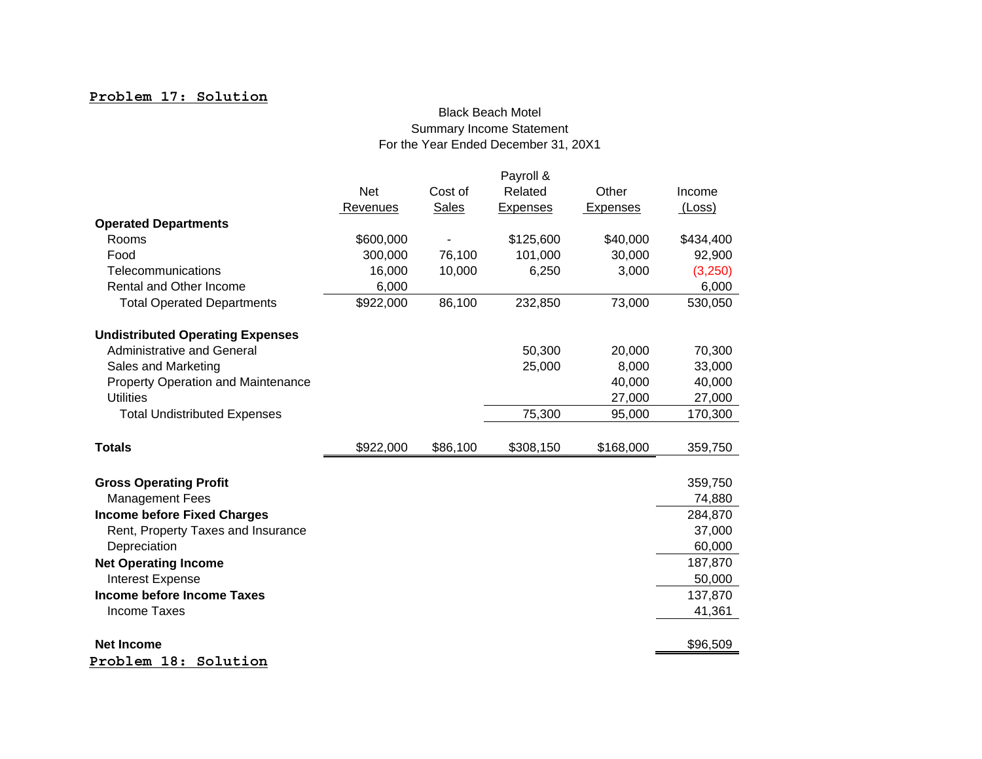#### **Problem 17: Solution**

## Black Beach Motel Summary Income Statement For the Year Ended December 31, 20X1

|                                           |            |          | Payroll &       |                 |           |
|-------------------------------------------|------------|----------|-----------------|-----------------|-----------|
|                                           | <b>Net</b> | Cost of  | Related         | Other           | Income    |
|                                           | Revenues   | Sales    | <b>Expenses</b> | <b>Expenses</b> | (Loss)    |
| <b>Operated Departments</b>               |            |          |                 |                 |           |
| Rooms                                     | \$600,000  |          | \$125,600       | \$40,000        | \$434,400 |
| Food                                      | 300,000    | 76,100   | 101,000         | 30,000          | 92,900    |
| Telecommunications                        | 16,000     | 10,000   | 6,250           | 3,000           | (3,250)   |
| Rental and Other Income                   | 6,000      |          |                 |                 | 6,000     |
| <b>Total Operated Departments</b>         | \$922,000  | 86,100   | 232,850         | 73,000          | 530,050   |
| <b>Undistributed Operating Expenses</b>   |            |          |                 |                 |           |
| <b>Administrative and General</b>         |            |          | 50,300          | 20,000          | 70,300    |
| Sales and Marketing                       |            |          | 25,000          | 8,000           | 33,000    |
| <b>Property Operation and Maintenance</b> |            |          |                 | 40,000          | 40,000    |
| <b>Utilities</b>                          |            |          |                 | 27,000          | 27,000    |
| <b>Total Undistributed Expenses</b>       |            |          | 75,300          | 95,000          | 170,300   |
| <b>Totals</b>                             | \$922,000  | \$86,100 | \$308,150       | \$168,000       | 359,750   |
| <b>Gross Operating Profit</b>             |            |          |                 |                 | 359,750   |
| <b>Management Fees</b>                    |            |          |                 |                 | 74,880    |
| <b>Income before Fixed Charges</b>        |            |          |                 |                 | 284,870   |
| Rent, Property Taxes and Insurance        |            |          |                 |                 | 37,000    |
| Depreciation                              |            |          |                 |                 | 60,000    |
| <b>Net Operating Income</b>               |            |          |                 |                 | 187,870   |
| Interest Expense                          |            |          |                 |                 | 50,000    |
| Income before Income Taxes                |            |          |                 |                 | 137,870   |
| <b>Income Taxes</b>                       |            |          |                 |                 | 41,361    |
| <b>Net Income</b>                         |            |          |                 |                 | \$96,509  |
| Problem 18: Solution                      |            |          |                 |                 |           |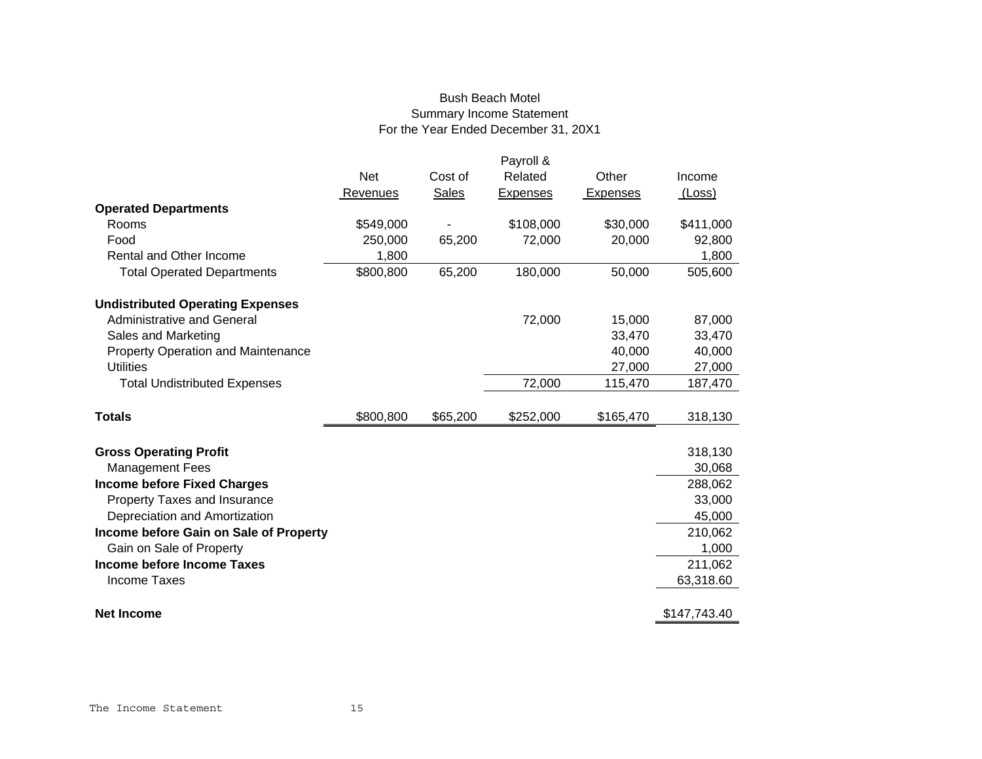## Bush Beach Motel Summary Income Statement For the Year Ended December 31, 20X1

|                                           |            |          | Payroll &       |                 |              |
|-------------------------------------------|------------|----------|-----------------|-----------------|--------------|
|                                           | <b>Net</b> | Cost of  | Related         | Other           | Income       |
|                                           | Revenues   | Sales    | <b>Expenses</b> | <b>Expenses</b> | (Loss)       |
| <b>Operated Departments</b>               |            |          |                 |                 |              |
| Rooms                                     | \$549,000  |          | \$108,000       | \$30,000        | \$411,000    |
| Food                                      | 250,000    | 65,200   | 72,000          | 20,000          | 92,800       |
| Rental and Other Income                   | 1,800      |          |                 |                 | 1,800        |
| <b>Total Operated Departments</b>         | \$800,800  | 65,200   | 180,000         | 50,000          | 505,600      |
| <b>Undistributed Operating Expenses</b>   |            |          |                 |                 |              |
| <b>Administrative and General</b>         |            |          | 72,000          | 15,000          | 87,000       |
| Sales and Marketing                       |            |          |                 | 33,470          | 33,470       |
| <b>Property Operation and Maintenance</b> |            |          |                 | 40,000          | 40,000       |
| <b>Utilities</b>                          |            |          |                 | 27,000          | 27,000       |
| <b>Total Undistributed Expenses</b>       |            |          | 72,000          | 115,470         | 187,470      |
| <b>Totals</b>                             | \$800,800  | \$65,200 | \$252,000       | \$165,470       | 318,130      |
|                                           |            |          |                 |                 |              |
| <b>Gross Operating Profit</b>             |            |          |                 |                 | 318,130      |
| <b>Management Fees</b>                    |            |          |                 |                 | 30,068       |
| <b>Income before Fixed Charges</b>        |            |          |                 |                 | 288,062      |
| Property Taxes and Insurance              |            |          |                 |                 | 33,000       |
| Depreciation and Amortization             |            |          |                 |                 | 45,000       |
| Income before Gain on Sale of Property    |            |          |                 |                 | 210,062      |
| Gain on Sale of Property                  |            |          |                 |                 | 1,000        |
| Income before Income Taxes                |            |          |                 |                 | 211,062      |
| <b>Income Taxes</b>                       |            |          |                 |                 | 63,318.60    |
|                                           |            |          |                 |                 |              |
| <b>Net Income</b>                         |            |          |                 |                 | \$147,743.40 |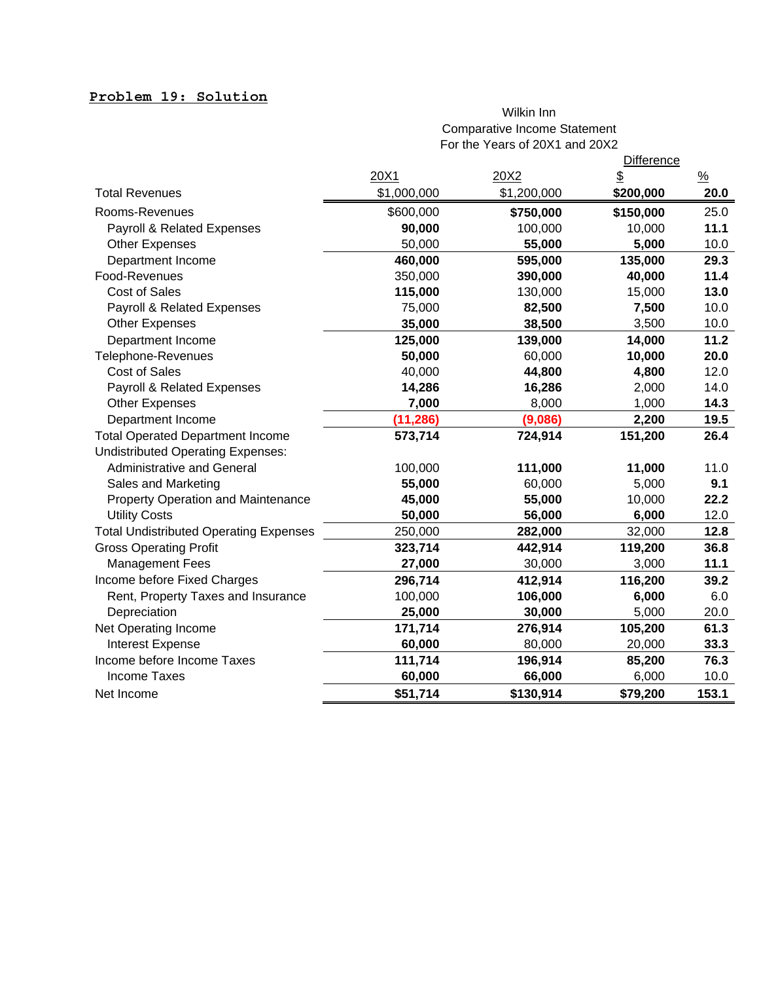## **Problem 19: Solution**

## Wilkin Inn Comparative Income Statement For the Years of 20X1 and 20X2

|                                               |             |             | <b>Difference</b> |               |
|-----------------------------------------------|-------------|-------------|-------------------|---------------|
|                                               | 20X1        | 20X2        | \$                | $\frac{9}{6}$ |
| <b>Total Revenues</b>                         | \$1,000,000 | \$1,200,000 | \$200,000         | 20.0          |
| Rooms-Revenues                                | \$600,000   | \$750,000   | \$150,000         | 25.0          |
| <b>Payroll &amp; Related Expenses</b>         | 90,000      | 100,000     | 10,000            | 11.1          |
| <b>Other Expenses</b>                         | 50,000      | 55,000      | 5,000             | 10.0          |
| Department Income                             | 460,000     | 595,000     | 135,000           | 29.3          |
| Food-Revenues                                 | 350,000     | 390,000     | 40,000            | 11.4          |
| <b>Cost of Sales</b>                          | 115,000     | 130,000     | 15,000            | 13.0          |
| Payroll & Related Expenses                    | 75,000      | 82,500      | 7,500             | 10.0          |
| <b>Other Expenses</b>                         | 35,000      | 38,500      | 3,500             | 10.0          |
| Department Income                             | 125,000     | 139,000     | 14,000            | 11.2          |
| Telephone-Revenues                            | 50,000      | 60,000      | 10,000            | 20.0          |
| <b>Cost of Sales</b>                          | 40,000      | 44,800      | 4,800             | 12.0          |
| Payroll & Related Expenses                    | 14,286      | 16,286      | 2,000             | 14.0          |
| <b>Other Expenses</b>                         | 7,000       | 8,000       | 1,000             | 14.3          |
| Department Income                             | (11, 286)   | (9,086)     | 2,200             | 19.5          |
| <b>Total Operated Department Income</b>       | 573,714     | 724,914     | 151,200           | 26.4          |
| <b>Undistributed Operating Expenses:</b>      |             |             |                   |               |
| <b>Administrative and General</b>             | 100,000     | 111,000     | 11,000            | 11.0          |
| Sales and Marketing                           | 55,000      | 60,000      | 5,000             | 9.1           |
| <b>Property Operation and Maintenance</b>     | 45,000      | 55,000      | 10,000            | 22.2          |
| <b>Utility Costs</b>                          | 50,000      | 56,000      | 6,000             | 12.0          |
| <b>Total Undistributed Operating Expenses</b> | 250,000     | 282,000     | 32,000            | 12.8          |
| <b>Gross Operating Profit</b>                 | 323,714     | 442,914     | 119,200           | 36.8          |
| <b>Management Fees</b>                        | 27,000      | 30,000      | 3,000             | 11.1          |
| Income before Fixed Charges                   | 296,714     | 412,914     | 116,200           | 39.2          |
| Rent, Property Taxes and Insurance            | 100,000     | 106,000     | 6,000             | 6.0           |
| Depreciation                                  | 25,000      | 30,000      | 5,000             | 20.0          |
| Net Operating Income                          | 171,714     | 276,914     | 105,200           | 61.3          |
| Interest Expense                              | 60,000      | 80,000      | 20,000            | 33.3          |
| Income before Income Taxes                    | 111,714     | 196,914     | 85,200            | 76.3          |
| <b>Income Taxes</b>                           | 60,000      | 66,000      | 6,000             | 10.0          |
| Net Income                                    | \$51,714    | \$130,914   | \$79,200          | 153.1         |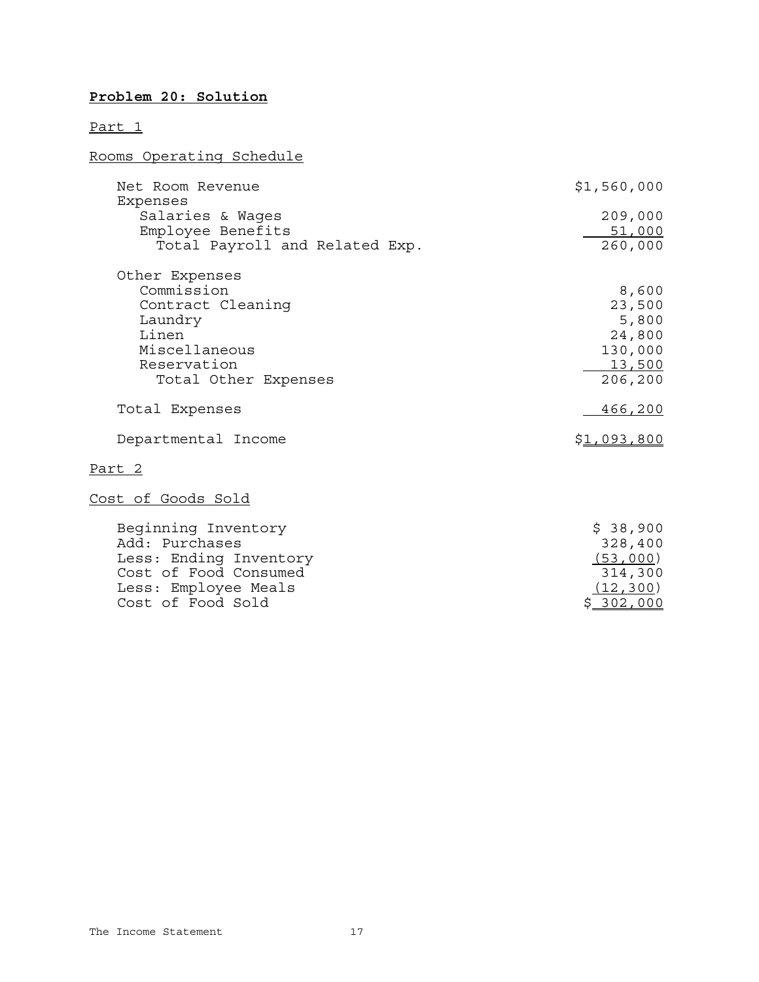## **Problem 20: Solution**

### Part 1

Rooms Operating Schedule

| Net Room Revenue                                                                                                                      | \$1,560,000                                                                 |
|---------------------------------------------------------------------------------------------------------------------------------------|-----------------------------------------------------------------------------|
| Expenses<br>Salaries & Wages<br>Employee Benefits<br>Total Payroll and Related Exp.                                                   | 209,000<br>51,000<br>260,000                                                |
| Other Expenses<br>Commission<br>Contract Cleaning<br>Laundry<br>Linen<br>Miscellaneous<br>Reservation<br>Total Other Expenses         | 8,600<br>23,500<br>5,800<br>24,800<br>130,000<br><u>13,500</u><br>206,200   |
| Total Expenses                                                                                                                        | <u>466,200</u>                                                              |
| Departmental Income                                                                                                                   | \$1,093,800                                                                 |
| <u>Part 2</u>                                                                                                                         |                                                                             |
| <u>Cost of Goods Sold</u>                                                                                                             |                                                                             |
| Beginning Inventory<br>Add: Purchases<br>Less: Ending Inventory<br>Cost of Food Consumed<br>Less: Employee Meals<br>Cost of Food Sold | \$38,900<br>328,400<br>(53,000)<br>314,300<br>(12, 300)<br><u>\$302,000</u> |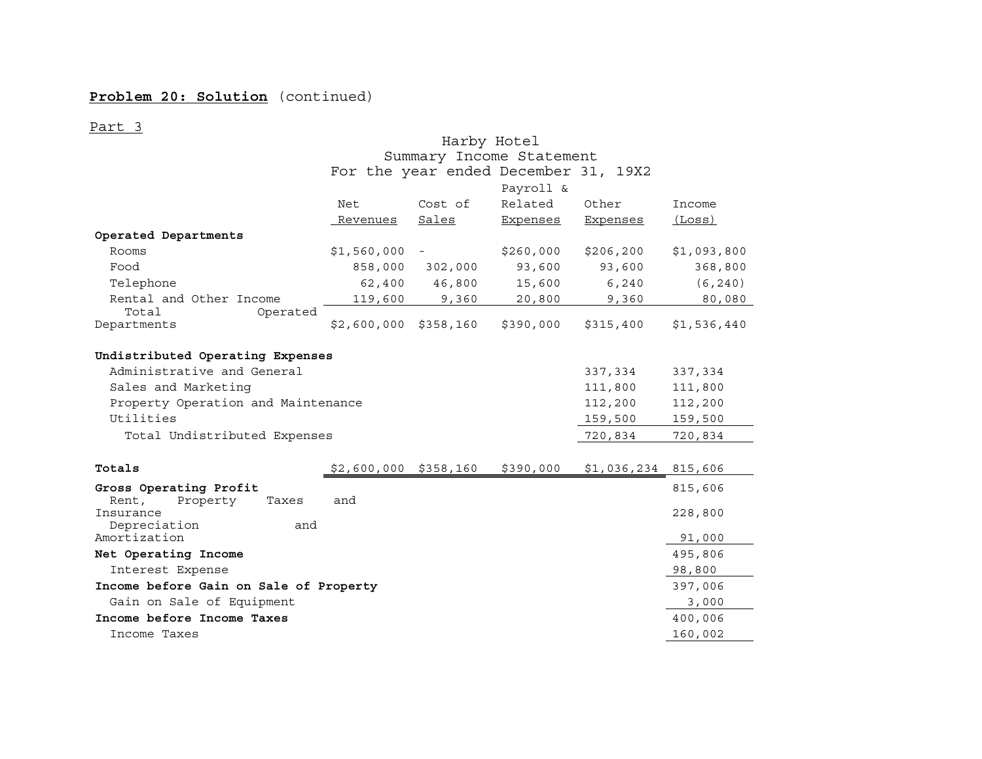#### **Problem 20: Solution** (continued)

#### <u>Part 3</u>

|                                                                                                                                                                          | Harby Hotel                          |                          |                 |                                                     |                                                     |  |  |  |
|--------------------------------------------------------------------------------------------------------------------------------------------------------------------------|--------------------------------------|--------------------------|-----------------|-----------------------------------------------------|-----------------------------------------------------|--|--|--|
|                                                                                                                                                                          | Summary Income Statement             |                          |                 |                                                     |                                                     |  |  |  |
|                                                                                                                                                                          | For the year ended December 31, 19X2 |                          |                 |                                                     |                                                     |  |  |  |
|                                                                                                                                                                          |                                      |                          | Payroll &       |                                                     |                                                     |  |  |  |
|                                                                                                                                                                          | Net                                  | Cost of                  | Related         | Other                                               | Income                                              |  |  |  |
|                                                                                                                                                                          | Revenues                             | Sales                    | <b>Expenses</b> | <b>Expenses</b>                                     | (Loss)                                              |  |  |  |
| Operated Departments                                                                                                                                                     |                                      |                          |                 |                                                     |                                                     |  |  |  |
| Rooms                                                                                                                                                                    | \$1,560,000                          | $\overline{\phantom{a}}$ | \$260,000       | \$206,200                                           | \$1,093,800                                         |  |  |  |
| Food                                                                                                                                                                     | 858,000                              | 302,000                  | 93,600          | 93,600                                              | 368,800                                             |  |  |  |
| Telephone                                                                                                                                                                | 62,400                               | 46,800                   | 15,600          | 6,240                                               | (6, 240)                                            |  |  |  |
| Rental and Other Income                                                                                                                                                  | 119,600                              | 9,360                    | 20,800          | 9,360                                               | 80,080                                              |  |  |  |
| Total<br>Operated<br>Departments                                                                                                                                         | \$2,600,000                          | \$358,160                | \$390,000       | \$315,400                                           | \$1,536,440                                         |  |  |  |
| Undistributed Operating Expenses<br>Administrative and General<br>Sales and Marketing<br>Property Operation and Maintenance<br>Utilities<br>Total Undistributed Expenses |                                      |                          |                 | 337,334<br>111,800<br>112,200<br>159,500<br>720,834 | 337,334<br>111,800<br>112,200<br>159,500<br>720,834 |  |  |  |
| Totals                                                                                                                                                                   | $$2,600,000$ $$358,160$              |                          | \$390,000       | \$1,036,234                                         | 815,606                                             |  |  |  |
| Gross Operating Profit<br>Rent,<br>Property<br>Taxes                                                                                                                     | and                                  |                          |                 |                                                     | 815,606                                             |  |  |  |
| Insurance<br>Depreciation<br>and                                                                                                                                         |                                      |                          |                 |                                                     | 228,800                                             |  |  |  |
| Amortization                                                                                                                                                             |                                      |                          |                 |                                                     | 91,000                                              |  |  |  |
| Net Operating Income                                                                                                                                                     |                                      |                          |                 |                                                     | 495,806                                             |  |  |  |
| Interest Expense                                                                                                                                                         |                                      |                          |                 |                                                     | 98,800                                              |  |  |  |
| Income before Gain on Sale of Property                                                                                                                                   |                                      |                          |                 |                                                     | 397,006                                             |  |  |  |
| Gain on Sale of Equipment                                                                                                                                                |                                      |                          |                 |                                                     | 3,000                                               |  |  |  |
| Income before Income Taxes                                                                                                                                               |                                      |                          |                 |                                                     | 400,006                                             |  |  |  |
| Income Taxes                                                                                                                                                             |                                      |                          |                 |                                                     | 160,002                                             |  |  |  |